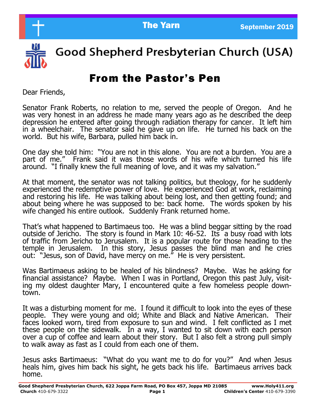

Good Shepherd Presbyterian Church (USA)

# From the Pastor's Pen

Dear Friends,

Senator Frank Roberts, no relation to me, served the people of Oregon. And he was very honest in an address he made many years ago as he described the deep depression he entered after going through radiation therapy for cancer. It left him in a wheelchair. The senator said he gave up on life. He turned his back on the world. But his wife, Barbara, pulled him back in.

One day she told him: "You are not in this alone. You are not a burden. You are a part of me." Frank said it was those words of his wife which turned his life around. "I finally knew the full meaning of love, and it was my salvation."

At that moment, the senator was not talking politics, but theology, for he suddenly experienced the redemptive power of love. He experienced God at work, reclaiming and restoring his life. He was talking about being lost, and then getting found; and about being where he was supposed to be: back home. The words spoken by his wife changed his entire outlook. Suddenly Frank returned home.

That's what happened to Bartimaeus too. He was a blind beggar sitting by the road outside of Jericho. The story is found in Mark 10: 46-52. Its a busy road with lots of traffic from Jericho to Jerusalem. It is a popular route for those heading to the temple in Jerusalem. In this story, Jesus passes the blind man and he cries out: "Jesus, son of David, have mercy on me." He is very persistent.

Was Bartimaeus asking to be healed of his blindness? Maybe. Was he asking for financial assistance? Maybe. When I was in Portland, Oregon this past July, visiting my oldest daughter Mary, I encountered quite a few homeless people downtown.

It was a disturbing moment for me. I found it difficult to look into the eyes of these people. They were young and old; White and Black and Native American. Their faces looked worn, tired from exposure to sun and wind. I felt conflicted as I met these people on the sidewalk. In a way, I wanted to sit down with each person over a cup of coffee and learn about their story. But I also felt a strong pull simply to walk away as fast as I could from each one of them.

Jesus asks Bartimaeus: "What do you want me to do for you?" And when Jesus heals him, gives him back his sight, he gets back his life. Bartimaeus arrives back home.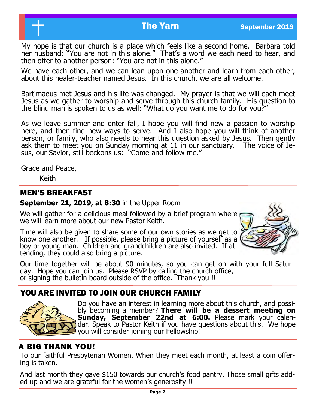My hope is that our church is a place which feels like a second home. Barbara told her husband: "You are not in this alone." That's a word we each need to hear, and then offer to another person: "You are not in this alone."

We have each other, and we can lean upon one another and learn from each other, about this healer-teacher named Jesus. In this church, we are all welcome.

Bartimaeus met Jesus and his life was changed. My prayer is that we will each meet Jesus as we gather to worship and serve through this church family. His question to the blind man is spoken to us as well: "What do you want me to do for you?"

As we leave summer and enter fall, I hope you will find new a passion to worship here, and then find new ways to serve. And I also hope you will think of another person, or family, who also needs to hear this question asked by Jesus. Then gently ask them to meet you on Sunday morning at 11 in our sanctuary. The voice of Jesus, our Savior, still beckons us: "Come and follow me."

Grace and Peace,

Keith

#### MEN'S BREAKFAST

#### **September 21, 2019, at 8:30** in the Upper Room

We will gather for a delicious meal followed by a brief program where we will learn more about our new Pastor Keith.

Time will also be given to share some of our own stories as we get to know one another. If possible, please bring a picture of yourself as a boy or young man. Children and grandchildren are also invited. If attending, they could also bring a picture.



Our time together will be about 90 minutes, so you can get on with your full Saturday. Hope you can join us. Please RSVP by calling the church office, or signing the bulletin board outside of the office. Thank you !!

## YOU ARE INVITED TO JOIN OUR CHURCH FAMILY



Do you have an interest in learning more about this church, and possibly becoming a member? **There will be a dessert meeting on Sunday, September 22nd at 6:00.** Please mark your calendar. Speak to Pastor Keith if you have questions about this. We hope you will consider joining our Fellowship!

## A BIG THANK YOU!

To our faithful Presbyterian Women. When they meet each month, at least a coin offering is taken.

And last month they gave \$150 towards our church's food pantry. Those small gifts added up and we are grateful for the women's generosity !!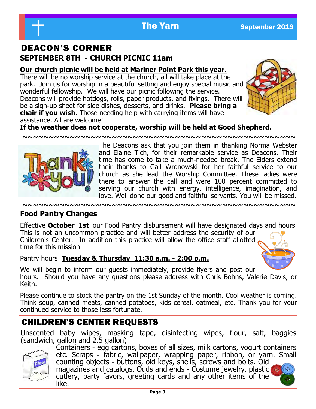# DEACON'S CORNER **SEPTEMBER 8TH - CHURCH PICNIC 11am**

#### **Our church picnic will be held at Mariner Point Park this year.**

There will be no worship service at the church, all will take place at the park. Join us for worship in a beautiful setting and enjoy special music and wonderful fellowship. We will have our picnic following the service. Deacons will provide hotdogs, rolls, paper products, and fixings. There will be a sign-up sheet for side dishes, desserts, and drinks. **Please bring a chair if you wish.** Those needing help with carrying items will have assistance. All are welcome!



#### **If the weather does not cooperate, worship will be held at Good Shepherd.**

~~~~~~~~~~~~~~~~~~~~~~~~~~~~~~~~~~~~~~~~~~~~~~~~~~~~



The Deacons ask that you join them in thanking Norma Webster and Elaine Tich, for their remarkable service as Deacons. Their time has come to take a much-needed break. The Elders extend their thanks to Gail Wronowski for her faithful service to our church as she lead the Worship Committee. These ladies were there to answer the call and were 100 percent committed to serving our church with energy, intelligence, imagination, and love. Well done our good and faithful servants. You will be missed.

#### ~~~~~~~~~~~~~~~~~~~~~~~~~~~~~~~~~~~~~~~~~~~~~~~~~~~~

## **Food Pantry Changes**

Effective **October 1st** our Food Pantry disbursement will have designated days and hours. This is not an uncommon practice and will better address the security of our Children's Center. In addition this practice will allow the office staff allotted time for this mission.

#### Pantry hours **Tuesday & Thursday 11:30 a.m. - 2:00 p.m.**



We will begin to inform our guests immediately, provide flyers and post our hours. Should you have any questions please address with Chris Bohns, Valerie Davis, or Keith.

Please continue to stock the pantry on the 1st Sunday of the month. Cool weather is coming. Think soup, canned meats, canned potatoes, kids cereal, oatmeal, etc. Thank you for your continued service to those less fortunate.

# CHILDREN'S CENTER REQUESTS

Unscented baby wipes, masking tape, disinfecting wipes, flour, salt, baggies (sandwich, gallon and 2.5 gallon)



Containers - egg cartons, boxes of all sizes, milk cartons, yogurt containers etc. Scraps - fabric, wallpaper, wrapping paper, ribbon, or yarn. Small counting objects - buttons, old keys, shells, screws and bolts. Old magazines and catalogs. Odds and ends - Costume jewelry, plastic cutlery, party favors, greeting cards and any other items of the like.

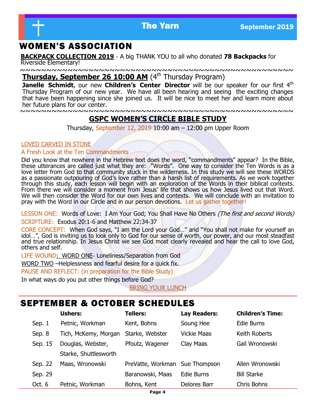

## WOMEN'S ASSOCIATION

**BACKPACK COLLECTION 2019** - A big THANK YOU to all who donated **78 Backpacks** for Riverside Elementary!

~~~~~~~~~~~~~~~~~~~~~~~~~~~~~~~~~~~~~~~~~~~~~~~~~~~~ **Thursday, September 26 10:00 AM** (4<sup>th</sup> Thursday Program)

**Janelle Schmidt**, our new Children's Center Director will be our speaker for our first 4<sup>th</sup> Thursday Program of our new year. We have all been hearing and seeing the exciting changes that have been happening since she joined us. It will be nice to meet her and learn more about her future plans for our center.

~~~~~~~~~~~~~~~~~~~~~~~~~~~~~~~~~~~~~~~~~~~~~~~~~~~~

#### **GSPC WOMEN'S CIRCLE BIBLE STUDY**

Thursday, September 12, 2019 10:00 am – 12:00 pm Upper Room

#### LOVED CARVED IN STONE

#### A Fresh Look at the Ten Commandments

Did you know that nowhere in the Hebrew text does the word, "commandments" appear? In the Bible, these utterances are called just what they are: "Words". One way to consider the Ten Words is as a love letter from God to that community stuck in the wilderness. In this study we will see these WORDS as a passionate outpouring of God's love rather than a harsh list of requirements. As we work together through this study, each lesson will begin with an exploration of the Words in their biblical contexts. From there we will consider a moment from Jesus' life that shows us how Jesus lived out that Word. We will then consider the Word for our own lives and contexts. We will conclude with an invitation to pray with the Word in our Circle and in our person devotions. Let us gather together!

LESSON ONE: Words of Love: I Am Your God; You Shall Have No Others (The first and second Words) SCRIPTURE: Exodus 20:1-6 and Matthew 22:34-37

CORE CONCEPT: When God says, "I am the Lord your God…" and "You shall not make for yourself an idol…", God is inviting us to look only to God for our sense of worth, our power, and our most steadfast and true relationship. In Jesus Christ we see God most clearly revealed and hear the call to love God, others and self.

LIFE WOUND: WORD ONE- Loneliness/Separation from God

WORD TWO –Helplessness and fearful desire for a quick fix.

PAUSE AND REFLECT: (in preparation for the Bible Study)

In what ways do you put other things before God?

BRING YOUR LUNCH

#### SEPTEMBER & OCTOBER SCHEDULES

|         | <b>Ushers:</b>        | <b>Tellers:</b>                | <b>Lay Readers:</b> | <b>Children's Time:</b> |
|---------|-----------------------|--------------------------------|---------------------|-------------------------|
| Sep. 1  | Petnic, Workman       | Kent, Bohns                    | Soung Hee           | Edie Burns              |
| Sep. 8  | Tich, McKemy, Morgan  | Starke, Webster                | <b>Vickie Maas</b>  | Keith Roberts           |
| Sep. 15 | Douglas, Webster,     | Pfoutz, Wagener                | Clay Maas           | Gail Wronowski          |
|         | Starke, Shuttlesworth |                                |                     |                         |
| Sep. 22 | Maas, Wronowski       | PreVatte, Workman Sue Thompson |                     | Allen Wronowski         |
| Sep. 29 |                       | Baranowski, Maas               | Edie Burns          | <b>Bill Starke</b>      |
| Oct. 6  | Petnic, Workman       | Bohns, Kent                    | Delores Barr        | Chris Bohns             |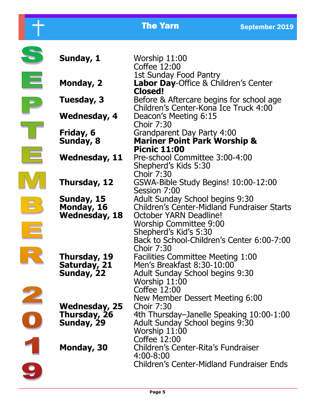|                                                                                                                                                                                                                                                                                                                                                                                                                                                                                                                                                                                                                                                  |                                                    | <b>The Yarn</b>                                                                                                                                                                                                         | <b>September 2019</b> |  |
|--------------------------------------------------------------------------------------------------------------------------------------------------------------------------------------------------------------------------------------------------------------------------------------------------------------------------------------------------------------------------------------------------------------------------------------------------------------------------------------------------------------------------------------------------------------------------------------------------------------------------------------------------|----------------------------------------------------|-------------------------------------------------------------------------------------------------------------------------------------------------------------------------------------------------------------------------|-----------------------|--|
|                                                                                                                                                                                                                                                                                                                                                                                                                                                                                                                                                                                                                                                  | Sunday, 1                                          | Worship 11:00<br>Coffee 12:00                                                                                                                                                                                           |                       |  |
| 巨                                                                                                                                                                                                                                                                                                                                                                                                                                                                                                                                                                                                                                                | Monday, 2                                          | 1st Sunday Food Pantry<br><b>Labor Day-Office &amp; Children's Center</b><br>Closed!                                                                                                                                    |                       |  |
|                                                                                                                                                                                                                                                                                                                                                                                                                                                                                                                                                                                                                                                  | Tuesday, 3                                         | Before & Aftercare begins for school age<br>Children's Center-Kona Ice Truck 4:00                                                                                                                                       |                       |  |
|                                                                                                                                                                                                                                                                                                                                                                                                                                                                                                                                                                                                                                                  | Wednesday, 4                                       | Deacon's Meeting 6:15<br><b>Choir 7:30</b>                                                                                                                                                                              |                       |  |
|                                                                                                                                                                                                                                                                                                                                                                                                                                                                                                                                                                                                                                                  | Friday, 6<br>Sunday, 8                             | Grandparent Day Party 4:00<br><b>Mariner Point Park Worship &amp;</b><br><b>Picnic 11:00</b>                                                                                                                            |                       |  |
|                                                                                                                                                                                                                                                                                                                                                                                                                                                                                                                                                                                                                                                  | Wednesday, 11                                      | Pre-school Committee 3:00-4:00<br>Shepherd's Kids 5:30                                                                                                                                                                  |                       |  |
|                                                                                                                                                                                                                                                                                                                                                                                                                                                                                                                                                                                                                                                  | Thursday, 12                                       | <b>Choir 7:30</b><br>GSWA-Bible Study Begins! 10:00-12:00<br>Session 7:00                                                                                                                                               |                       |  |
| $\begin{array}{c} \n\Box \quad \quad \Box \quad \quad \quad \Box \quad \quad \quad \quad \Box \quad \quad \quad \quad \Box \quad \quad \quad \quad \Box \quad \quad \quad \quad \Box \quad \quad \quad \quad \Box \quad \quad \quad \quad \Box \quad \quad \quad \quad \Box \quad \quad \quad \quad \Box \quad \quad \quad \Box \quad \quad \quad \quad \Box \quad \quad \quad \Box \quad \quad \quad \Box \quad \quad \Box \quad \quad \Box \quad \quad \Box \quad \quad \Box \quad \quad \Box \quad \quad \Box \quad \quad \Box \quad \quad \Box \quad \quad \Box \quad \quad \Box \quad \quad \Box \quad \quad \Box \quad \quad \Box \quad \$ | Sunday, 15<br>Monday, 16<br><b>Wednesday, 18</b>   | <b>Adult Sunday School begins 9:30</b><br>Children's Center-Midland Fundraiser Starts<br>October YARN Deadline!<br><b>Worship Committee 9:00</b><br>Shepherd's Kid's 5:30<br>Back to School-Children's Center 6:00-7:00 |                       |  |
|                                                                                                                                                                                                                                                                                                                                                                                                                                                                                                                                                                                                                                                  | Thursday, 19<br>Saturday, 21<br>Sunday, 22         | <b>Choir 7:30</b><br><b>Facilities Committee Meeting 1:00</b><br>Men's Breakfast 8:30-10:00<br>Adult Sunday School begins 9:30<br>Worship 11:00                                                                         |                       |  |
|                                                                                                                                                                                                                                                                                                                                                                                                                                                                                                                                                                                                                                                  | <b>Wednesday, 25</b><br>Thursday, 26<br>Sunday, 29 | Coffee 12:00<br>New Member Dessert Meeting 6:00<br><b>Choir 7:30</b><br>4th Thursday-Janelle Speaking 10:00-1:00<br>Adult Sunday School begins 9:30<br>Worship 11:00                                                    |                       |  |
|                                                                                                                                                                                                                                                                                                                                                                                                                                                                                                                                                                                                                                                  | Monday, 30                                         | Coffee 12:00<br>Children's Center-Rita's Fundraiser<br>4:00-8:00                                                                                                                                                        |                       |  |
|                                                                                                                                                                                                                                                                                                                                                                                                                                                                                                                                                                                                                                                  |                                                    | <b>Children's Center-Midland Fundraiser Ends</b>                                                                                                                                                                        |                       |  |